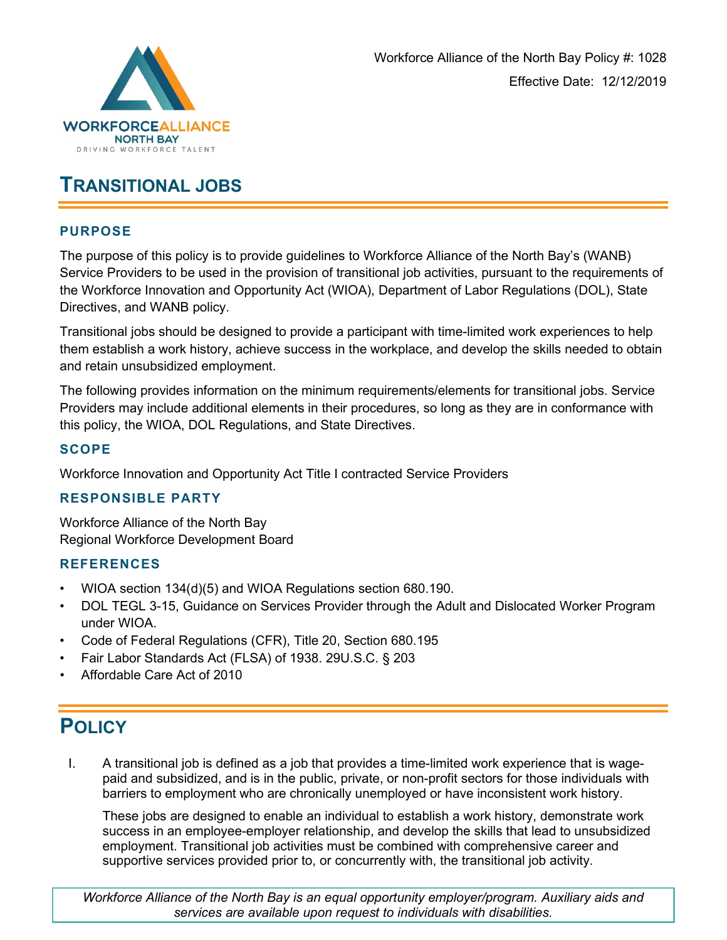

# **TRANSITIONAL JOBS**

### **PURPOSE**

The purpose of this policy is to provide guidelines to Workforce Alliance of the North Bay's (WANB) Service Providers to be used in the provision of transitional job activities, pursuant to the requirements of the Workforce Innovation and Opportunity Act (WIOA), Department of Labor Regulations (DOL), State Directives, and WANB policy.

Transitional jobs should be designed to provide a participant with time-limited work experiences to help them establish a work history, achieve success in the workplace, and develop the skills needed to obtain and retain unsubsidized employment.

The following provides information on the minimum requirements/elements for transitional jobs. Service Providers may include additional elements in their procedures, so long as they are in conformance with this policy, the WIOA, DOL Regulations, and State Directives.

### **SCOPE**

Workforce Innovation and Opportunity Act Title I contracted Service Providers

#### **RESPONSIBLE PARTY**

Workforce Alliance of the North Bay Regional Workforce Development Board

#### **REFERENCES**

- WIOA section 134(d)(5) and WIOA Regulations section 680.190.
- DOL TEGL 3-15, Guidance on Services Provider through the Adult and Dislocated Worker Program under WIOA.
- Code of Federal Regulations (CFR), Title 20, Section 680.195
- Fair Labor Standards Act (FLSA) of 1938. 29U.S.C. § 203
- Affordable Care Act of 2010

# **POLICY**

I. A transitional job is defined as a job that provides a time-limited work experience that is wagepaid and subsidized, and is in the public, private, or non-profit sectors for those individuals with barriers to employment who are chronically unemployed or have inconsistent work history.

These jobs are designed to enable an individual to establish a work history, demonstrate work success in an employee-employer relationship, and develop the skills that lead to unsubsidized employment. Transitional job activities must be combined with comprehensive career and supportive services provided prior to, or concurrently with, the transitional job activity.

*Workforce Alliance of the North Bay is an equal opportunity employer/program. Auxiliary aids and services are available upon request to individuals with disabilities.*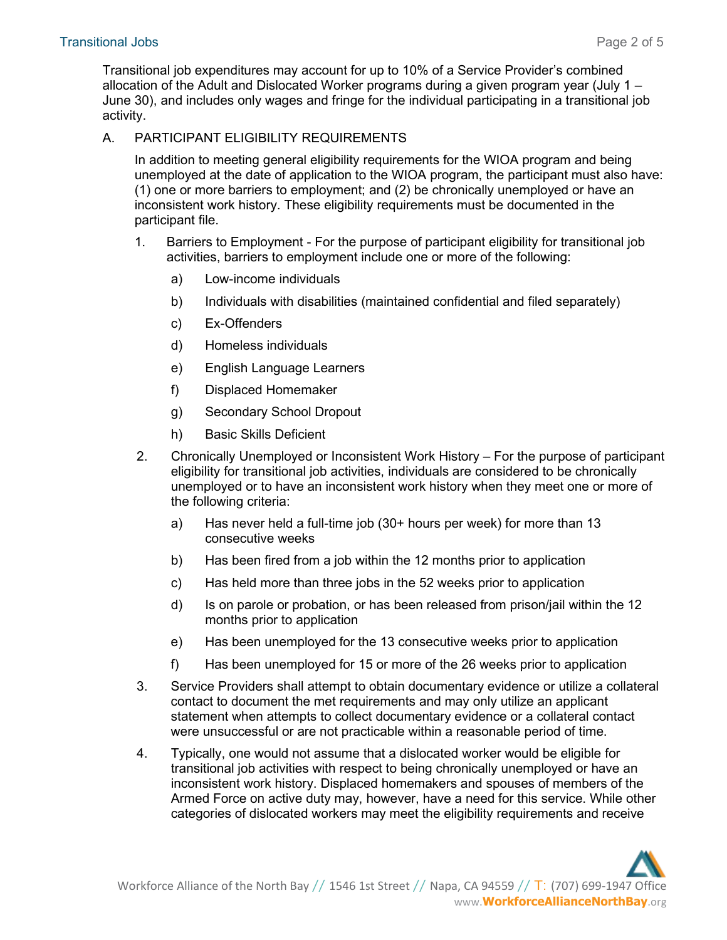Transitional job expenditures may account for up to 10% of a Service Provider's combined allocation of the Adult and Dislocated Worker programs during a given program year (July 1 – June 30), and includes only wages and fringe for the individual participating in a transitional job activity.

#### A. PARTICIPANT ELIGIBILITY REQUIREMENTS

In addition to meeting general eligibility requirements for the WIOA program and being unemployed at the date of application to the WIOA program, the participant must also have: (1) one or more barriers to employment; and (2) be chronically unemployed or have an inconsistent work history. These eligibility requirements must be documented in the participant file.

- 1. Barriers to Employment For the purpose of participant eligibility for transitional job activities, barriers to employment include one or more of the following:
	- a) Low-income individuals
	- b) Individuals with disabilities (maintained confidential and filed separately)
	- c) Ex-Offenders
	- d) Homeless individuals
	- e) English Language Learners
	- f) Displaced Homemaker
	- g) Secondary School Dropout
	- h) Basic Skills Deficient
- 2. Chronically Unemployed or Inconsistent Work History For the purpose of participant eligibility for transitional job activities, individuals are considered to be chronically unemployed or to have an inconsistent work history when they meet one or more of the following criteria:
	- a) Has never held a full-time job (30+ hours per week) for more than 13 consecutive weeks
	- b) Has been fired from a job within the 12 months prior to application
	- c) Has held more than three jobs in the 52 weeks prior to application
	- d) Is on parole or probation, or has been released from prison/jail within the 12 months prior to application
	- e) Has been unemployed for the 13 consecutive weeks prior to application
	- f) Has been unemployed for 15 or more of the 26 weeks prior to application
- 3. Service Providers shall attempt to obtain documentary evidence or utilize a collateral contact to document the met requirements and may only utilize an applicant statement when attempts to collect documentary evidence or a collateral contact were unsuccessful or are not practicable within a reasonable period of time.
- 4. Typically, one would not assume that a dislocated worker would be eligible for transitional job activities with respect to being chronically unemployed or have an inconsistent work history. Displaced homemakers and spouses of members of the Armed Force on active duty may, however, have a need for this service. While other categories of dislocated workers may meet the eligibility requirements and receive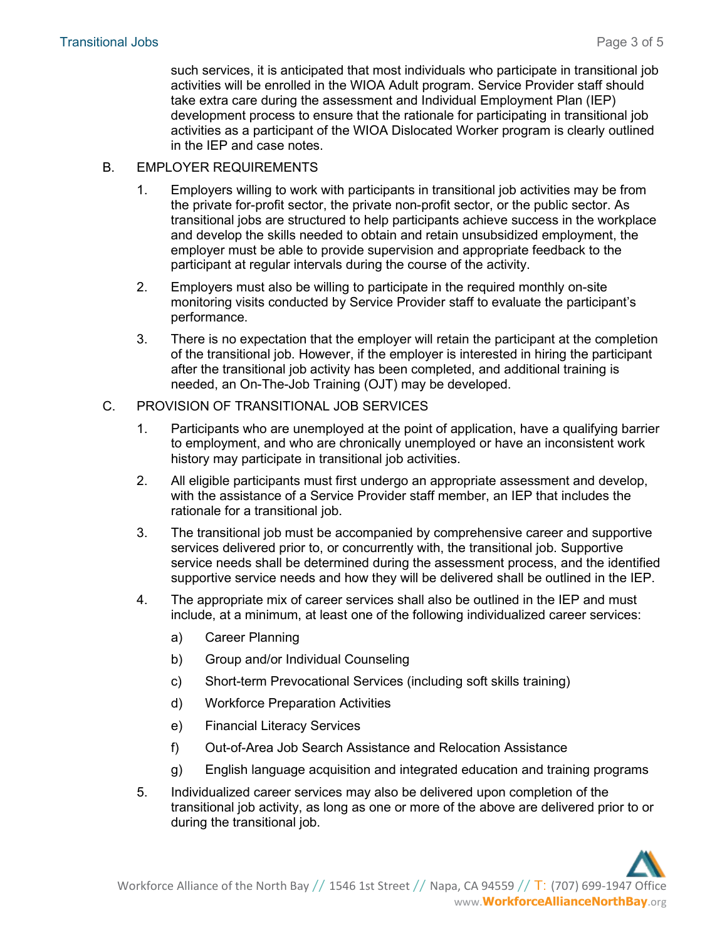such services, it is anticipated that most individuals who participate in transitional job activities will be enrolled in the WIOA Adult program. Service Provider staff should take extra care during the assessment and Individual Employment Plan (IEP) development process to ensure that the rationale for participating in transitional job activities as a participant of the WIOA Dislocated Worker program is clearly outlined in the IEP and case notes.

- B. EMPLOYER REQUIREMENTS
	- 1. Employers willing to work with participants in transitional job activities may be from the private for-profit sector, the private non-profit sector, or the public sector. As transitional jobs are structured to help participants achieve success in the workplace and develop the skills needed to obtain and retain unsubsidized employment, the employer must be able to provide supervision and appropriate feedback to the participant at regular intervals during the course of the activity.
	- 2. Employers must also be willing to participate in the required monthly on-site monitoring visits conducted by Service Provider staff to evaluate the participant's performance.
	- 3. There is no expectation that the employer will retain the participant at the completion of the transitional job. However, if the employer is interested in hiring the participant after the transitional job activity has been completed, and additional training is needed, an On-The-Job Training (OJT) may be developed.

### C. PROVISION OF TRANSITIONAL JOB SERVICES

- 1. Participants who are unemployed at the point of application, have a qualifying barrier to employment, and who are chronically unemployed or have an inconsistent work history may participate in transitional job activities.
- 2. All eligible participants must first undergo an appropriate assessment and develop, with the assistance of a Service Provider staff member, an IEP that includes the rationale for a transitional job.
- 3. The transitional job must be accompanied by comprehensive career and supportive services delivered prior to, or concurrently with, the transitional job. Supportive service needs shall be determined during the assessment process, and the identified supportive service needs and how they will be delivered shall be outlined in the IEP.
- 4. The appropriate mix of career services shall also be outlined in the IEP and must include, at a minimum, at least one of the following individualized career services:
	- a) Career Planning
	- b) Group and/or Individual Counseling
	- c) Short-term Prevocational Services (including soft skills training)
	- d) Workforce Preparation Activities
	- e) Financial Literacy Services
	- f) Out-of-Area Job Search Assistance and Relocation Assistance
	- g) English language acquisition and integrated education and training programs
- 5. Individualized career services may also be delivered upon completion of the transitional job activity, as long as one or more of the above are delivered prior to or during the transitional job.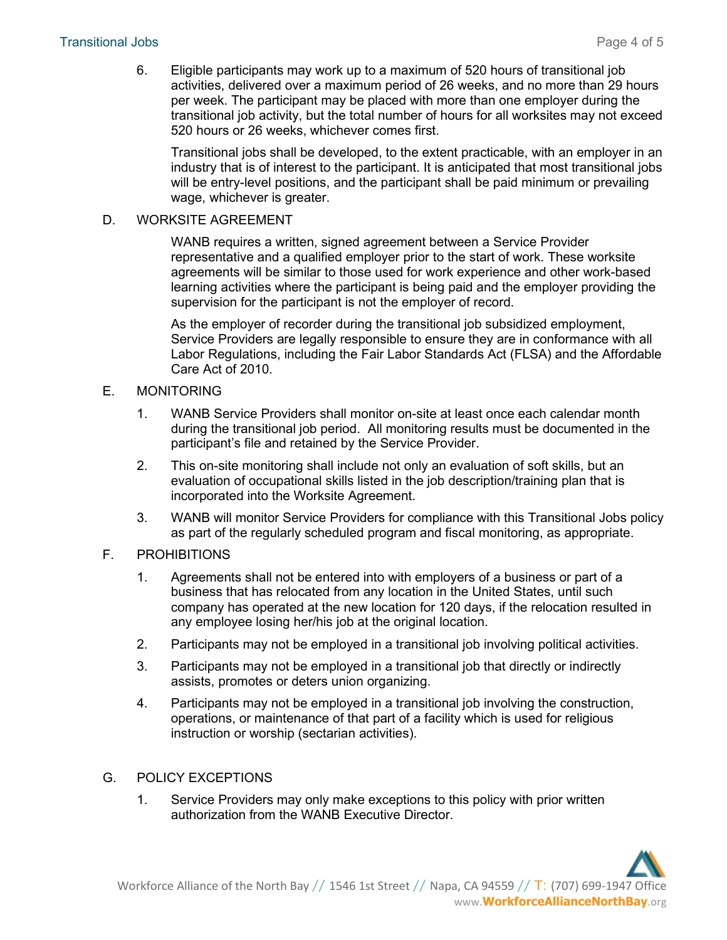6. Eligible participants may work up to a maximum of 520 hours of transitional job activities, delivered over a maximum period of 26 weeks, and no more than 29 hours per week. The participant may be placed with more than one employer during the transitional job activity, but the total number of hours for all worksites may not exceed 520 hours or 26 weeks, whichever comes first.

Transitional jobs shall be developed, to the extent practicable, with an employer in an industry that is of interest to the participant. It is anticipated that most transitional jobs will be entry-level positions, and the participant shall be paid minimum or prevailing wage, whichever is greater.

#### D. WORKSITE AGREEMENT

WANB requires a written, signed agreement between a Service Provider representative and a qualified employer prior to the start of work. These worksite agreements will be similar to those used for work experience and other work-based learning activities where the participant is being paid and the employer providing the supervision for the participant is not the employer of record.

As the employer of recorder during the transitional job subsidized employment, Service Providers are legally responsible to ensure they are in conformance with all Labor Regulations, including the Fair Labor Standards Act (FLSA) and the Affordable Care Act of 2010.

### E. MONITORING

- 1. WANB Service Providers shall monitor on-site at least once each calendar month during the transitional job period. All monitoring results must be documented in the participant's file and retained by the Service Provider.
- 2. This on-site monitoring shall include not only an evaluation of soft skills, but an evaluation of occupational skills listed in the job description/training plan that is incorporated into the Worksite Agreement.
- 3. WANB will monitor Service Providers for compliance with this Transitional Jobs policy as part of the regularly scheduled program and fiscal monitoring, as appropriate.

# F. PROHIBITIONS

- 1. Agreements shall not be entered into with employers of a business or part of a business that has relocated from any location in the United States, until such company has operated at the new location for 120 days, if the relocation resulted in any employee losing her/his job at the original location.
- 2. Participants may not be employed in a transitional job involving political activities.
- 3. Participants may not be employed in a transitional job that directly or indirectly assists, promotes or deters union organizing.
- 4. Participants may not be employed in a transitional job involving the construction, operations, or maintenance of that part of a facility which is used for religious instruction or worship (sectarian activities).

# G. POLICY EXCEPTIONS

1. Service Providers may only make exceptions to this policy with prior written authorization from the WANB Executive Director.